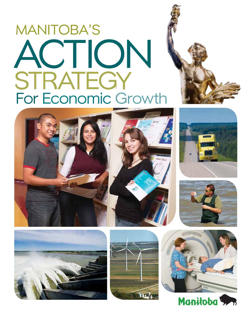# MANITOBA'S ACTION STRATEGY For Economic Growth















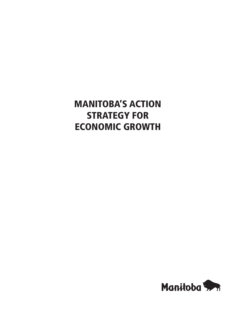# **MANITOBA'S ACTION STRATEGY FOR ECONOMIC GROWTH**

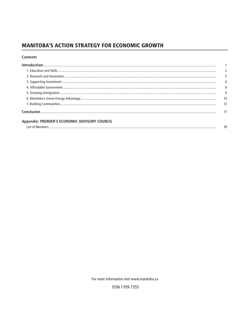# **MANITOBA'S ACTION STRATEGY FOR ECONOMIC GROWTH**

#### **Contents**

|                                                      | 6 |
|------------------------------------------------------|---|
|                                                      | 8 |
|                                                      |   |
|                                                      |   |
|                                                      |   |
|                                                      |   |
| <b>Appendix: PREMIER'S ECONOMIC ADVISORY COUNCIL</b> |   |
|                                                      |   |

For more information visit www.manitoba.ca

ISSN 1709-7355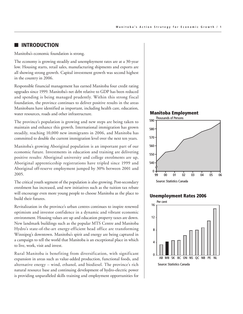#### ■ **INTRODUCTION**

Manitoba's economic foundation is strong.

The economy is growing steadily and unemployment rates are at a 30-year low. Housing starts, retail sales, manufacturing shipments and exports are all showing strong growth. Capital investment growth was second highest in the country in 2006.

Responsible financial management has earned Manitoba four credit rating upgrades since 1999. Manitoba's net debt relative to GDP has been reduced and spending is being managed prudently. Within this strong fiscal foundation, the province continues to deliver positive results in the areas Manitobans have identified as important, including health care, education, water resources, roads and other infrastructure.

The province's population is growing and new steps are being taken to maintain and enhance this growth. International immigration has grown steadily, reaching 10,000 new immigrants in 2006, and Manitoba has committed to double the current immigration level over the next ten years.

Manitoba's growing Aboriginal population is an important part of our economic future. Investments in education and training are delivering positive results: Aboriginal university and college enrolments are up, Aboriginal apprenticeship registrations have tripled since 1999 and Aboriginal off-reserve employment jumped by 30% between 2001 and 2005.

The critical youth segment of the population is also growing. Post-secondary enrolment has increased, and new initiatives such as the tuition tax rebate will encourage even more young people to choose Manitoba as the place to build their futures.

Revitalization in the province's urban centres continues to inspire renewed optimism and investor confidence in a dynamic and vibrant economic environment. Housing values are up and education property taxes are down. New landmark buildings such as the popular MTS Centre and Manitoba Hydro's state-of-the-art energy-efficient head office are transforming Winnipeg's downtown. Manitoba's spirit and energy are being captured in a campaign to tell the world that Manitoba is an exceptional place in which to live, work, visit and invest.

Rural Manitoba is benefiting from diversification, with significant expansion in areas such as value-added production, functional foods, and alternative energy – wind, ethanol, and biodiesel. The province's rich natural resource base and continuing development of hydro-electric power is providing unparalleled skills training and employment opportunities for





#### **Unemployment Rates 2006**

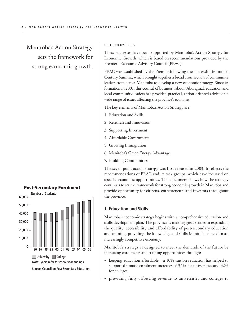Manitoba's Action Strategy sets the framework for strong economic growth.



northern residents.

These successes have been supported by Manitoba's Action Strategy for Economic Growth, which is based on recommendations provided by the Premier's Economic Advisory Council (PEAC).

PEAC was established by the Premier following the successful Manitoba Century Summit, which brought together a broad cross section of community leaders from across Manitoba to develop a new economic strategy. Since its formation in 2001, this council of business, labour, Aboriginal, education and local community leaders has provided practical, action-oriented advice on a wide range of issues affecting the province's economy.

The key elements of Manitoba's Action Strategy are:

- 1. Education and Skills
- 2. Research and Innovation
- 3. Supporting Investment
- 4. Affordable Government
- 5. Growing Immigration
- 6. Manitoba's Green Energy Advantage
- 7. Building Communities

The seven-point action strategy was first released in 2003. It reflects the recommendations of PEAC and its task groups, which have focussed on specific economic opportunities. This document shows how the strategy continues to set the framework for strong economic growth in Manitoba and provide opportunity for citizens, entrepreneurs and investors throughout the province.

#### **1. Education and Skills**

Manitoba's economic strategy begins with a comprehensive education and skills development plan. The province is making great strides in expanding the quality, accessibility and affordability of post-secondary education and training, providing the knowledge and skills Manitobans need in an increasingly competitive economy.

Manitoba's strategy is designed to meet the demands of the future by increasing enrolments and training opportunities through:

- keeping education affordable a 10% tuition reduction has helped to support dramatic enrolment increases of 34% for universities and 32% for colleges;
- providing fully offsetting revenue to universities and colleges to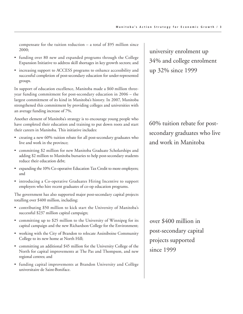compensate for the tuition reduction – a total of \$95 million since 2000;

- funding over 80 new and expanded programs through the College Expansion Initiative to address skill shortages in key growth sectors; and
- increasing support to ACCESS programs to enhance accessibility and successful completion of post-secondary education for under-represented groups.

In support of education excellence, Manitoba made a \$60 million threeyear funding commitment for post-secondary education in 2006 – the largest commitment of its kind in Manitoba's history. In 2007, Manitoba strengthened this commitment by providing colleges and universities with an average funding increase of 7%.

Another element of Manitoba's strategy is to encourage young people who have completed their education and training to put down roots and start their careers in Manitoba. This initiative includes:

- creating a new 60% tuition rebate for all post-secondary graduates who live and work in the province;
- committing \$2 million for new Manitoba Graduate Scholarships and adding \$2 million to Manitoba bursaries to help post-secondary students reduce their education debt;
- expanding the 10% Co-operative Education Tax Credit to more employers; and
- introducing a Co-operative Graduates Hiring Incentive to support employers who hire recent graduates of co-op education programs.

The government has also supported major post-secondary capital projects totalling over \$400 million, including:

- contributing \$50 million to kick start the University of Manitoba's successful \$237 million capital campaign;
- committing up to \$25 million to the University of Winnipeg for its capital campaign and the new Richardson College for the Environment;
- working with the City of Brandon to relocate Assiniboine Community College to its new home at North Hill;
- committing an additional \$45 million for the University College of the North for capital improvements at The Pas and Thompson, and new regional centres; and
- funding capital improvements at Brandon University and Collège universitaire de Saint-Boniface.

university enrolment up 34% and college enrolment up 32% since 1999

60% tuition rebate for postsecondary graduates who live and work in Manitoba

over \$400 million in post-secondary capital projects supported since 1999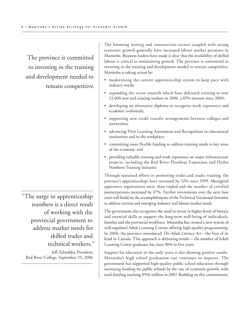The province is committed to investing in the training and development needed to remain competitive.

"The surge in apprenticeship numbers is a direct result of working with the provincial government to address market needs for skilled trades and technical workers."

Jeff Zabudsky, President, Red River College, September 25, 2006

The booming mining and construction sectors coupled with strong economic growth generally have increased labour market pressures in Manitoba. Business leaders have made it clear that the availability of skilled labour is critical to maintaining growth. The province is committed to investing in the training and development needed to remain competitive. Manitoba is taking action by:

- modernizing the current apprenticeship system to keep pace with industry needs;
- expanding the sector councils which have delivered training to over 12,000 new and existing workers in 2006, a 65% increase since 2000;
- developing an alternative diploma to recognize work experience and academic credentials;
- supporting new credit transfer arrangements between colleges and universities;
- advancing Prior Learning Assessment and Recognition in educational institutions and in the workplace;
- committing more flexible funding to address training needs in key areas of the economy; and
- providing valuable training and work experience on major infrastructure projects, including the Red River Floodway Expansion and Hydro Northern Training Initiative.

Through sustained efforts in promoting trades and trades training, the province's apprenticeships have increased by 52% since 1999. Aboriginal apprentice registrations more than tripled and the number of certified journeypersons increased by 47%. Further investments over the next four years will build on the accomplishments of the Technical Vocational Initiative to address current and emerging industry and labour market needs.

The government also recognizes the need to invest in higher levels of literacy and essential skills to support the long-term well-being of individuals, families and the provincial workforce. Manitoba has created a new system of well-regulated Adult Learning Centres offering high-quality programming. In 2006, the province introduced *The Adult Literacy Act* – the first of its kind in Canada. This approach is delivering results – the number of Adult Learning Centre graduates has risen 96% in five years.

Support for education in the early years is also showing positive results. Manitoba's high school graduation rate continues to improve. The government has supported high-quality public school education through increasing funding for public schools by the rate of economic growth, with total funding reaching \$956 million in 2007. Building on this commitment,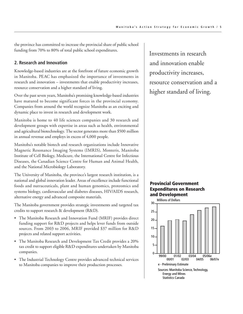the province has committed to increase the provincial share of public school funding from 70% to 80% of total public school expenditures.

#### **2. Research and Innovation**

Knowledge-based industries are at the forefront of future economic growth in Manitoba. PEAC has emphasized the importance of investments in research and innovation – investments that enable productivity increases, resource conservation and a higher standard of living.

Over the past seven years, Manitoba's promising knowledge-based industries have matured to become significant forces in the provincial economy. Companies from around the world recognize Manitoba as an exciting and dynamic place to invest in research and development work.

Manitoba is home to 40 life sciences companies and 30 research and development groups with expertise in areas such as health, environmental and agricultural biotechnology. The sector generates more than \$500 million in annual revenue and employs in excess of 4,000 people.

Manitoba's notable biotech and research organizations include Innovative Magnetic Resonance Imaging Systems (IMRIS), Monteris, Manitoba Institute of Cell Biology, Medicure, the International Centre for Infectious Diseases, the Canadian Science Centre for Human and Animal Health, and the National Microbiology Laboratory.

The University of Manitoba, the province's largest research institution, is a national and global innovation leader. Areas of excellence include functional foods and nutraceuticals, plant and human genomics, proteomics and systems biology, cardiovascular and diabetes diseases, HIV/AIDS research, alternative energy and advanced composite materials.

The Manitoba government provides strategic investments and targeted tax credits to support research & development (R&D).

- The Manitoba Research and Innovation Fund (MRIF) provides direct funding support for R&D projects and helps lever funds from outside sources. From 2003 to 2006, MRIF provided \$37 million for R&D projects and related support activities.
- The Manitoba Research and Development Tax Credit provides a 20% tax credit to support eligible R&D expenditures undertaken by Manitoba companies.
- The Industrial Technology Centre provides advanced technical services to Manitoba companies to improve their production processes.

Investments in research and innovation enable productivity increases, resource conservation and a higher standard of living.

#### **Provincial Government Expenditures on Research and Development**

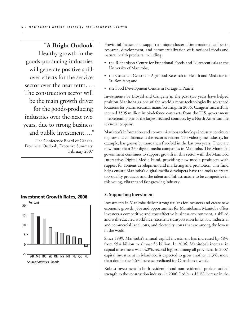# "**A Bright Outlook**

Healthy growth in the goods-producing industries will generate positive spillover effects for the service sector over the near term. … The construction sector will be the main growth driver for the goods-producing industries over the next two years, due to strong business and public investment…."

The Conference Board of Canada, Provincial Outlook, Executive Summary February 2007



**Investment Growth Rates, 2006**

Provincial investments support a unique cluster of international caliber in research, development, and commercialization of functional foods and natural health products, including:

- the Richardson Centre for Functional Foods and Nutraceuticals at the University of Manitoba;
- the Canadian Centre for Agri-food Research in Health and Medicine in St. Boniface; and
- the Food Development Centre in Portage la Prairie.

Investments by Biovail and Cangene in the past two years have helped position Manitoba as one of the world's most technologically advanced locations for pharmaceutical manufacturing. In 2006, Cangene successfully secured \$505 million in biodefence contracts from the U.S. government – representing one of the largest secured contracts by a North American life sciences company.

Manitoba's information and communications technology industry continues to grow and confidence in the sector is evident. The video game industry, for example, has grown by more than five-fold in the last two years. There are now more than 230 digital media companies in Manitoba. The Manitoba government continues to support growth in this sector with the Manitoba Interactive Digital Media Fund, providing new media producers with support for content development and marketing and promotion. The fund helps ensure Manitoba's digital media developers have the tools to create top-quality products, and the talent and infrastructure to be competitive in this young, vibrant and fast-growing industry.

#### **3. Supporting Investment**

Investments in Manitoba deliver strong returns for investors and create new economic growth, jobs and opportunities for Manitobans. Manitoba offers investors a competitive and cost-effective business environment, a skilled and well-educated workforce, excellent transportation links, low industrial and commercial land costs, and electricity costs that are among the lowest in the world.

Since 1999, Manitoba's annual capital investment has increased by 48% from \$5.4 billion to almost \$8 billion. In 2006, Manitoba's increase in capital investment was 14.2%, second highest among all provinces. In 2007, capital investment in Manitoba is expected to grow another 11.3%, more than double the 4.6% increase predicted for Canada as a whole.

Robust investment in both residential and non-residential projects added strength to the construction industry in 2006. Led by a 42.1% increase in the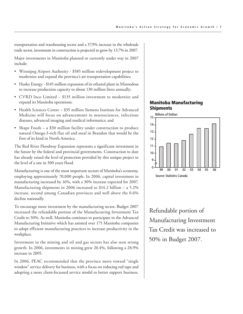transportation and warehousing sector and a 37.9% increase in the wholesale trade sector, investment in construction is projected to grow by 13.7% in 2007.

Major investments in Manitoba planned or currently under way in 2007 include:

- Winnipeg Airport Authority \$585 million redevelopment project to modernize and expand the province's air transportation capabilities;
- Husky Energy \$145 million expansion of its ethanol plant in Minnedosa to increase production capacity to about 130 million litres annually;
- CVRD Inco Limited \$135 million investment to modernize and expand its Manitoba operations;
- Health Sciences Centre \$35 million Siemens Institute for Advanced Medicine will focus on advancements in neurosciences, infectious diseases, advanced imaging and medical informatics; and
- Shape Foods a \$30 million facility under construction to produce natural Omega-3-rich flax oil and meal in Brandon that would be the first of its kind in North America.

The Red River Floodway Expansion represents a significant investment in the future by the federal and provincial governments. Construction to date has already raised the level of protection provided by this unique project to the level of a one in 300 years flood.

Manufacturing is one of the most important sectors of Manitoba's economy, employing approximately 70,000 people. In 2006, capital investment in manufacturing increased by 16%, with a 30% increase expected for 2007. Manufacturing shipments in 2006 increased to \$14.2 billion – a 5.2% increase, second among Canadian provinces and well above the 0.6% decline nationally.

To encourage more investment by the manufacturing sector, Budget 2007 increased the refundable portion of the Manufacturing Investment Tax Credit to 50%. As well, Manitoba continues to participate in the Advanced Manufacturing Initiative which has assisted over 175 Manitoba companies to adopt efficient manufacturing practices to increase productivity in the workplace.

Investment in the mining and oil and gas sectors has also seen strong growth. In 2006, investments in mining grew 20.4%, following a 28.9% increase in 2005.

In 2006, PEAC recommended that the province move toward "single window" service delivery for business, with a focus on reducing red tape and adopting a more client-focussed service model to better support business.

#### **Manitoba Manufacturing Shipments**



Refundable portion of Manufacturing Investment Tax Credit was increased to 50% in Budget 2007.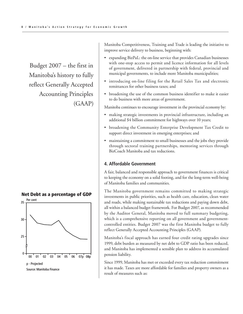Budget 2007 – the first in Manitoba's history to fully reflect Generally Accepted Accounting Principles (GAAP)



**Net Debt as a percentage of GDP**

Manitoba Competitiveness, Training and Trade is leading the initiative to improve service delivery to business, beginning with:

- expanding BizPaL: the on-line service that provides Canadian businesses with one-stop access to permit and licence information for all levels of government, delivered in partnership with federal, provincial and municipal governments, to include more Manitoba municipalities;
- introducing on-line filing for the Retail Sales Tax and electronic remittances for other business taxes; and
- broadening the use of the common business identifier to make it easier to do business with more areas of government.

Manitoba continues to encourage investment in the provincial economy by:

- making strategic investments in provincial infrastructure, including an additional \$4 billion commitment for highways over 10 years;
- broadening the Community Enterprise Development Tax Credit to support direct investment in emerging enterprises; and
- maintaining a commitment to small businesses and the jobs they provide through sectoral training partnerships, mentoring services through BizCoach Manitoba and tax reductions.

#### **4. Affordable Government**

A fair, balanced and responsible approach to government finances is critical to keeping the economy on a solid footing, and for the long-term well-being of Manitoba families and communities.

The Manitoba government remains committed to making strategic investments in public priorities, such as health care, education, clean water and roads, while making sustainable tax reductions and paying down debt, all within a balanced budget framework. For Budget 2007, as recommended by the Auditor General, Manitoba moved to full summary budgeting, which is a comprehensive reporting on all government and governmentcontrolled entities. Budget 2007 was the first Manitoba budget to fully reflect Generally Accepted Accounting Principles (GAAP).

Manitoba's fiscal approach has earned four credit rating upgrades since 1999, debt burden as measured by net debt to GDP ratio has been reduced, and Manitoba has implemented a sensible plan to address its accumulated pension liability.

Since 1999, Manitoba has met or exceeded every tax reduction commitment it has made. Taxes are more affordable for families and property owners as a result of measures such as: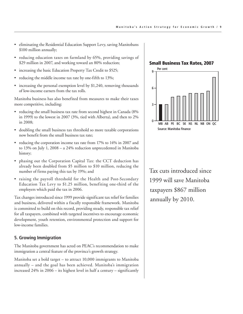- eliminating the Residential Education Support Levy, saving Manitobans \$100 million annually;
- reducing education taxes on farmland by 65%, providing savings of \$29 million in 2007, and working toward an 80% reduction;
- increasing the basic Education Property Tax Credit to \$525;
- reducing the middle income tax rate by one-fifth to 13%;
- increasing the personal exemption level by \$1,240, removing thousands of low-income earners from the tax rolls.

Manitoba business has also benefited from measures to make their taxes more competitive, including:

- reducing the small business tax rate from second highest in Canada (8% in 1999) to the lowest in 2007 (3%, tied with Alberta), and then to 2% in 2008;
- doubling the small business tax threshold so more taxable corporations now benefit from the small business tax rate;
- reducing the corporation income tax rate from 17% to 14% in 2007 and to 13% on July 1, 2008 – a 24% reduction unprecedented in Manitoba history;
- phasing out the Corporation Capital Tax: the CCT deduction has already been doubled from \$5 million to \$10 million, reducing the number of firms paying this tax by 19%; and
- raising the payroll threshold for the Health and Post-Secondary Education Tax Levy to \$1.25 million, benefiting one-third of the employers which paid the tax in 2006.

Tax changes introduced since 1999 provide significant tax relief for families and business, delivered within a fiscally responsible framework. Manitoba is committed to build on this record, providing steady, responsible tax relief for all taxpayers, combined with targeted incentives to encourage economic development, youth retention, environmental protection and support for low-income families.

#### **5. Growing Immigration**

The Manitoba government has acted on PEAC's recommendation to make immigration a central feature of the province's growth strategy.

Manitoba set a bold target – to attract 10,000 immigrants to Manitoba annually – and the goal has been achieved. Manitoba's immigration increased 24% in 2006 – its highest level in half a century – significantly

**Small Business Tax Rates, 2007**



Tax cuts introduced since 1999 will save Manitoba taxpayers \$867 million annually by 2010.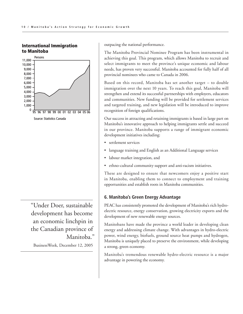#### **International Immigration to Manitoba**



"Under Doer, sustainable development has become an economic linchpin in the Canadian province of Manitoba."

BusinessWeek, December 12, 2005

outpacing the national performance.

The Manitoba Provincial Nominee Program has been instrumental in achieving this goal. This program, which allows Manitoba to recruit and select immigrants to meet the province's unique economic and labour needs, has proven very successful. Manitoba accounted for fully half of all provincial nominees who came to Canada in 2006.

Based on this record, Manitoba has set another target – to double immigration over the next 10 years. To reach this goal, Manitoba will strengthen and extend its successful partnerships with employers, educators and communities. New funding will be provided for settlement services and targeted training, and new legislation will be introduced to improve recognition of foreign qualifications.

Our success in attracting and retaining immigrants is based in large part on Manitoba's innovative approach to helping immigrants settle and succeed in our province. Manitoba supports a range of immigrant economic development initiatives including:

- settlement services
- language training and English as an Additional Language services
- labour market integration, and
- ethno-cultural community support and anti-racism initiatives.

These are designed to ensure that newcomers enjoy a positive start in Manitoba, enabling them to connect to employment and training opportunities and establish roots in Manitoba communities.

#### **6. Manitoba's Green Energy Advantage**

PEAC has consistently promoted the development of Manitoba's rich hydroelectric resource, energy conservation, growing electricity exports and the development of new renewable energy sources.

Manitobans have made the province a world leader in developing clean energy and addressing climate change. With advantages in hydro-electric power, wind energy, biofuels, ground source heat pumps and hydrogen, Manitoba is uniquely placed to preserve the environment, while developing a strong, green economy.

Manitoba's tremendous renewable hydro-electric resource is a major advantage in powering the economy.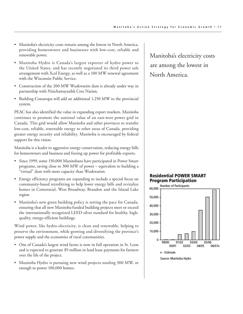- Manitoba's electricity costs remain among the lowest in North America, providing homeowners and businesses with low-cost, reliable and renewable power.
- Manitoba Hydro is Canada's largest exporter of hydro power to the United States, and has recently negotiated its third power sale arrangement with Xcel Energy, as well as a 100 MW renewal agreement with the Wisconsin Public Service.
- Construction of the 200 MW Wuskwatim dam is already under way in partnership with Nisichawayasihk Cree Nation.
- Building Conawapa will add an additional 1,250 MW to the provincial system.

PEAC has also identified the value in expanding export markets. Manitoba continues to promote the national value of an east-west power grid in Canada. This grid would allow Manitoba and other provinces to transfer low-cost, reliable, renewable energy to other areas of Canada, providing greater energy security and reliability. Manitoba is encouraged by federal support for this vision.

Manitoba is a leader in aggressive energy conservation, reducing energy bills for homeowners and business and freeing up power for profitable exports.

- Since 1999, some 150,000 Manitobans have participated in Power Smart programs, saving close to 300 MW of power – equivalent to building a "virtual" dam with more capacity than Wuskwatim.
- Energy efficiency programs are expanding to include a special focus on community-based retrofitting to help lower energy bills and revitalize homes in Centennial, West Broadway, Brandon and the Island Lake region.
- Manitoba's new green building policy is setting the pace for Canada, ensuring that all new Manitoba-funded building projects meet or exceed the internationally recognized LEED silver standard for healthy, highquality, energy-efficient buildings.

Wind power, like hydro-electricity, is clean and renewable, helping to preserve the environment, while growing and diversifying the province's power supply and the economies of rural communities.

- One of Canada's largest wind farms is now in full operation in St. Leon and is expected to generate \$9 million in land lease payments for farmers over the life of the project.
- Manitoba Hydro is pursuing new wind projects totaling 300 MW, or enough to power 100,000 homes.

Manitoba's electricity costs are among the lowest in North America.

#### **Residential POWER SMART Program Participation**

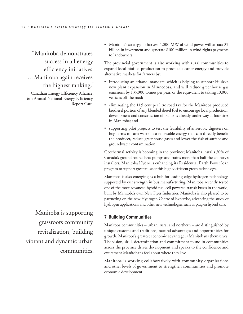# "Manitoba demonstrates success in all energy efficiency initiatives. …Manitoba again receives the highest ranking."

Canadian Energy Efficiency Alliance, 6th Annual National Energy Efficiency Report Card

Manitoba is supporting grassroots community revitalization, building vibrant and dynamic urban communities. • Manitoba's strategy to harvest 1,000 MW of wind power will attract \$2 billion in investment and generate \$100 million in wind rights payments to landowners.

The provincial government is also working with rural communities to expand local biofuel production to produce cleaner energy and provide alternative markets for farmers by:

- introducing an ethanol mandate, which is helping to support Husky's new plant expansion in Minnedosa, and will reduce greenhouse gas emissions by 135,000 tonnes per year, or the equivalent to taking 10,000 vehicles off the road;
- eliminating the 11.5 cent per litre road tax for the Manitoba produced biodiesel portion of any blended diesel fuel to encourage local production; development and construction of plants is already under way at four sites in Manitoba; and
- supporting pilot projects to test the feasibility of anaerobic digesters on hog farms to turn waste into renewable energy that can directly benefit the producer, reduce greenhouse gases and lower the risk of surface and groundwater contamination.

Geothermal activity is booming in the province; Manitoba installs 30% of Canada's ground source heat pumps and trains more than half the country's installers. Manitoba Hydro is enhancing its Residential Earth Power loan program to support greater use of this highly-efficient green technology.

Manitoba is also emerging as a hub for leading-edge hydrogen technology, supported by our strength in bus manufacturing. Manitoba recently tested one of the most advanced hybrid fuel cell powered transit buses in the world, built by Manitoba's own New Flyer Industries. Manitoba is also pleased to be partnering on the new Hydrogen Centre of Expertise, advancing the study of hydrogen applications and other new technologies such as plug-in hybrid cars.

#### **7. Building Communities**

Manitoba communities – urban, rural and northern – are distinguished by unique customs and traditions, natural advantages and opportunities for growth. Manitoba's greatest economic advantage is Manitobans themselves. The vision, skill, determination and commitment found in communities across the province drives development and speaks to the confidence and excitement Manitobans feel about where they live.

Manitoba is working collaboratively with community organizations and other levels of government to strengthen communities and promote economic development.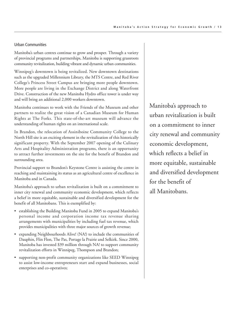#### Urban Communities

Manitoba's urban centres continue to grow and prosper. Through a variety of provincial programs and partnerships, Manitoba is supporting grassroots community revitalization, building vibrant and dynamic urban communities.

Winnipeg's downtown is being revitalized. New downtown destinations such as the upgraded Millennium Library, the MTS Centre, and Red River College's Princess Street Campus are bringing more people downtown. More people are living in the Exchange District and along Waterfront Drive. Construction of the new Manitoba Hydro office tower is under way and will bring an additional 2,000 workers downtown.

Manitoba continues to work with the Friends of the Museum and other partners to realize the great vision of a Canadian Museum for Human Rights at The Forks. This state-of-the-art museum will advance the understanding of human rights on an international scale.

In Brandon, the relocation of Assiniboine Community College to the North Hill site is an exciting element in the revitalization of this historically significant property. With the September 2007 opening of the Culinary Arts and Hospitality Administration programs, there is an opportunity to attract further investments on the site for the benefit of Brandon and surrounding area.

Provincial support to Brandon's Keystone Centre is assisting the centre in reaching and maintaining its status as an agricultural centre of excellence in Manitoba and in Canada.

Manitoba's approach to urban revitalization is built on a commitment to inner city renewal and community economic development, which reflects a belief in more equitable, sustainable and diversified development for the benefit of all Manitobans. This is exemplified by:

- establishing the Building Manitoba Fund in 2005 to expand Manitoba's personal income and corporation income tax revenue sharing arrangements with municipalities by including fuel tax revenue, which provides municipalities with three major sources of growth revenue;
- expanding Neighbourhoods Alive! (NA!) to include the communities of Dauphin, Flin Flon, The Pas, Portage la Prairie and Selkirk. Since 2000, Manitoba has invested \$39 million through NA! to support community revitalization efforts in Winnipeg, Thompson and Brandon;
- supporting non-profit community organizations like SEED Winnipeg to assist low-income entrepreneurs start and expand businesses, social enterprises and co-operatives;

Manitoba's approach to urban revitalization is built on a commitment to inner city renewal and community economic development, which reflects a belief in more equitable, sustainable and diversified development for the benefit of all Manitobans.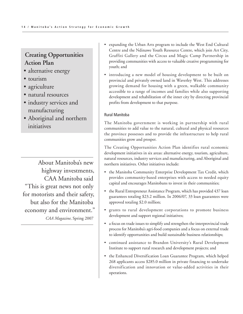# **Creating Opportunities Action Plan**

- alternative energy
- tourism
- agriculture
- natural resources
- industry services and manufacturing
- Aboriginal and northern initiatives

About Manitoba's new highway investments, CAA Manitoba said "This is great news not only for motorists and their safety, but also for the Manitoba economy and environment." *CAA Magazine,* Spring 2007

- expanding the Urban Arts program to include the West End Cultural Centre and the Ndinawe Youth Resource Centre, which join Art City, Graffiti Gallery and the Circus and Magic Camp Partnership in providing communities with access to valuable creative programming for youth; and
- introducing a new model of housing development to be built on provincial and privately owned land in Waverley West. This addresses growing demand for housing with a green, walkable community accessible to a range of incomes and families while also supporting development and rehabilitation of the inner city by directing provincial profits from development to that purpose.

#### Rural Manitoba

The Manitoba government is working in partnership with rural communities to add value to the natural, cultural and physical resources the province possesses and to provide the infrastructure to help rural communities grow and prosper.

The Creating Opportunities Action Plan identifies rural economic development initiatives in six areas: alternative energy, tourism, agriculture, natural resources, industry services and manufacturing, and Aboriginal and northern initiatives. Other initiatives include:

- the Manitoba Community Enterprise Development Tax Credit, which provides community-based enterprises with access to needed equity capital and encourages Manitobans to invest in their communities;
- the Rural Entrepreneur Assistance Program, which has provided 437 loan guarantees totaling \$23.2 million. In 2006/07, 33 loan guarantees were approved totaling \$2.0 million;
- grants to rural development corporations to promote business development and support regional initiatives;
- a focus on trade issues to simplify and strengthen the interprovincial trade process for Manitoba's agri-food companies and a focus on external trade to identify opportunities and build sustainable business relationships;
- continued assistance to Brandon University's Rural Development Institute to support rural research and development projects; and
- the Enhanced Diversification Loan Guarantee Program, which helped 268 applicants access \$285.0 million in private financing to undertake diversification and innovation or value-added activities in their operations.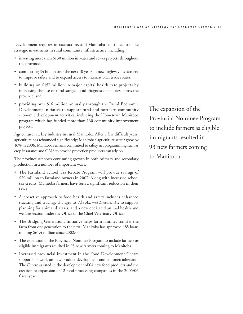Development requires infrastructure, and Manitoba continues to make strategic investments in rural community infrastructure, including:

- investing more than \$130 million in water and sewer projects throughout the province;
- committing \$4 billion over the next 10 years in new highway investment to improve safety and to expand access to international trade routes;
- building on \$157 million in major capital health care projects by increasing the use of rural surgical and diagnostic facilities across the province; and
- providing over \$16 million annually through the Rural Economic Development Initiative to support rural and northern community economic development activities, including the Hometown Manitoba program which has funded more than 160 community-improvement projects.

Agriculture is a key industry in rural Manitoba. After a few difficult years, agriculture has rebounded significantly; Manitoba's agriculture sector grew by 16% in 2006. Manitoba remains committed to safety net programming such as crop insurance and CAIS to provide protection producers can rely on.

The province supports continuing growth in both primary and secondary production in a number of important ways.

- The Farmland School Tax Rebate Program will provide savings of \$29 million to farmland owners in 2007. Along with increased school tax credits, Manitoba farmers have seen a significant reduction in their taxes.
- A proactive approach to food health and safety includes enhanced tracking and tracing, changes to *The Animal Diseases Act* to support planning for animal diseases, and a new dedicated animal health and welfare section under the Office of the Chief Veterinary Officer.
- The Bridging Generations Initiative helps farm families transfer the farm from one generation to the next. Manitoba has approved 485 loans totaling \$61.4 million since 2002/03.
- The expansion of the Provincial Nominee Program to include farmers as eligible immigrants resulted in 93 new farmers coming to Manitoba.
- Increased provincial investment in the Food Development Centre supports its work on new product development and commercialization. The Centre assisted in the development of 64 new food products and the creation or expansion of 12 food processing companies in the 2005/06 fiscal year.

The expansion of the Provincial Nominee Program to include farmers as eligible immigrants resulted in 93 new farmers coming to Manitoba.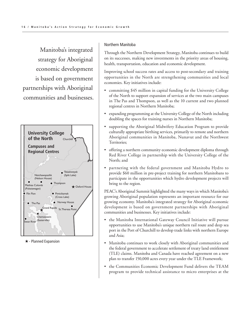Manitoba's integrated strategy for Aboriginal economic development is based on government partnerships with Aboriginal communities and businesses.



★ - Planned Expansion

#### Northern Manitoba

Through the Northern Development Strategy, Manitoba continues to build on its successes, making new investments in the priority areas of housing, health, transportation, education and economic development.

Improving school success rates and access to post-secondary and training opportunities in the North are strengthening communities and local economies. Key initiatives include:

- committing \$45 million in capital funding for the University College of the North to support expansion of services at the two main campuses in The Pas and Thompson, as well as the 10 current and two planned regional centres in Northern Manitoba;
- expanding programming at the University College of the North including doubling the spaces for training nurses in Northern Manitoba;
- supporting the Aboriginal Midwifery Education Program to provide culturally appropriate birthing services, primarily to remote and northern Aboriginal communities in Manitoba, Nunavut and the Northwest Territories;
- offering a northern community economic development diploma through Red River College in partnership with the University College of the North; and
- partnering with the federal government and Manitoba Hydro to provide \$60 million in pre-project training for northern Manitobans to participate in the opportunities which hydro development projects will bring to the region.

PEAC's Aboriginal Summit highlighted the many ways in which Manitoba's growing Aboriginal population represents an important resource for our growing economy. Manitoba's integrated strategy for Aboriginal economic development is based on government partnerships with Aboriginal communities and businesses. Key initiatives include:

- the Manitoba International Gateway Council Initiative will pursue opportunities to use Manitoba's unique northern rail route and deep sea port in the Port of Churchill to develop trade links with northern Europe and Asia;
- Manitoba continues to work closely with Aboriginal communities and the federal government to accelerate settlement of treaty land entitlement (TLE) claims. Manitoba and Canada have reached agreement on a new plan to transfer 150,000 acres every year under the TLE Framework;
- the Communities Economic Development Fund delivers the TEAM program to provide technical assistance to micro enterprises at the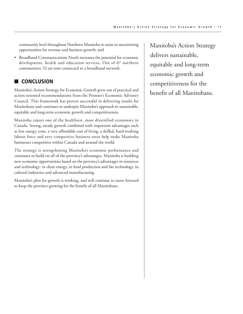community level throughout Northern Manitoba to assist in maximizing opportunities for revenue and business growth; and

• Broadband Communications North increases the potential for economic development, health and education services. Out of 67 northern communities, 52 are now connected to a broadband network.

## ■ **CONCLUSION**

Manitoba's Action Strategy for Economic Growth grew out of practical and action-oriented recommendations from the Premier's Economic Advisory Council. This framework has proven successful in delivering results for Manitobans and continues to underpin Manitoba's approach to sustainable, equitable and long-term economic growth and competitiveness.

Manitoba enjoys one of the healthiest, most diversified economies in Canada. Strong, steady growth combined with important advantages such as low energy costs, a very affordable cost of living, a skilled, hard-working labour force and very competitive business taxes help make Manitoba businesses competitive within Canada and around the world.

The strategy is strengthening Manitoba's economic performance and continues to build on all of the province's advantages. Manitoba is building new economic opportunities based on the province's advantages in resources and technology: in clean energy, in food production and bio technology, in cultural industries and advanced manufacturing.

Manitoba's plan for growth is working, and will continue to move forward to keep the province growing for the benefit of all Manitobans.

Manitoba's Action Strategy delivers sustainable, equitable and long-term economic growth and competitiveness for the benefit of all Manitobans.